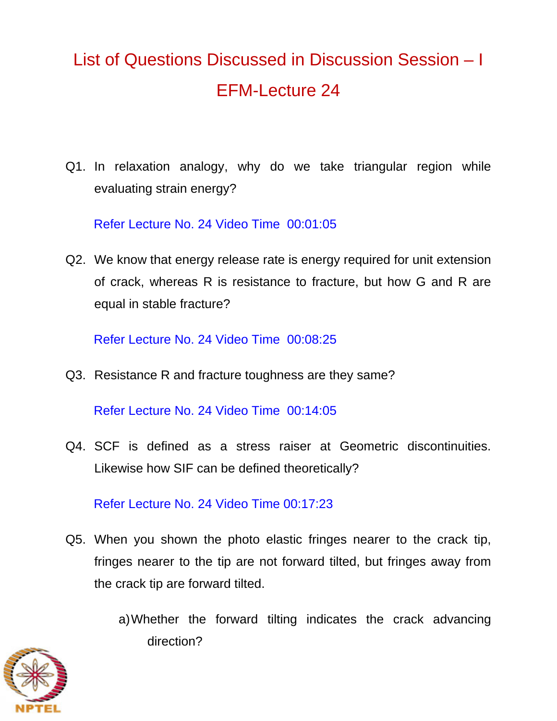## List of Questions Discussed in Discussion Session – I EFM-Lecture 24

Q1. In relaxation analogy, why do we take triangular region while evaluating strain energy?

Refer Lecture No. 24 Video Time 00:01:05

Q2. We know that energy release rate is energy required for unit extension of crack, whereas R is resistance to fracture, but how G and R are equal in stable fracture?

Refer Lecture No. 24 Video Time 00:08:25

Q3. Resistance R and fracture toughness are they same?

Refer Lecture No. 24 Video Time 00:14:05

Q4. SCF is defined as a stress raiser at Geometric discontinuities. Likewise how SIF can be defined theoretically?

Refer Lecture No. 24 Video Time 00:17:23

Q5. When you shown the photo elastic fringes nearer to the crack tip, fringes nearer to the tip are not forward tilted, but fringes away from the crack tip are forward tilted.

> a) Whether the forward tilting indicates the crack advancing direction?